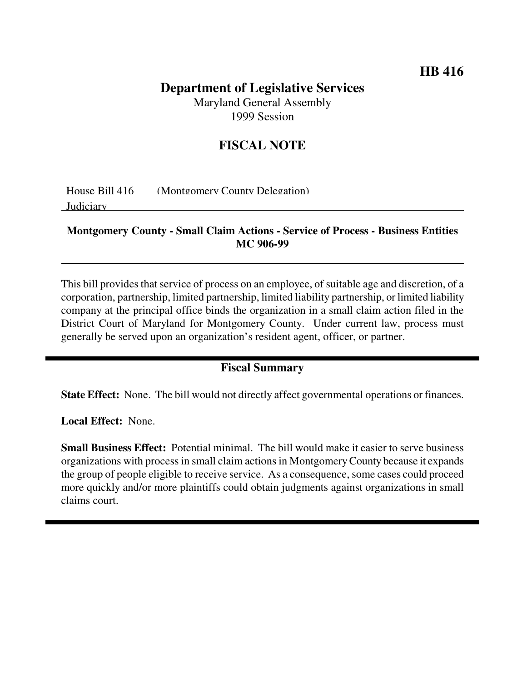## **HB 416**

# **Department of Legislative Services**

Maryland General Assembly 1999 Session

### **FISCAL NOTE**

House Bill 416 (Montgomery County Delegation)

Judiciary

#### **Montgomery County - Small Claim Actions - Service of Process - Business Entities MC 906-99**

This bill provides that service of process on an employee, of suitable age and discretion, of a corporation, partnership, limited partnership, limited liability partnership, or limited liability company at the principal office binds the organization in a small claim action filed in the District Court of Maryland for Montgomery County. Under current law, process must generally be served upon an organization's resident agent, officer, or partner.

#### **Fiscal Summary**

**State Effect:** None. The bill would not directly affect governmental operations or finances.

**Local Effect:** None.

**Small Business Effect:** Potential minimal. The bill would make it easier to serve business organizations with process in small claim actionsin MontgomeryCounty because it expands the group of people eligible to receive service. As a consequence, some cases could proceed more quickly and/or more plaintiffs could obtain judgments against organizations in small claims court.